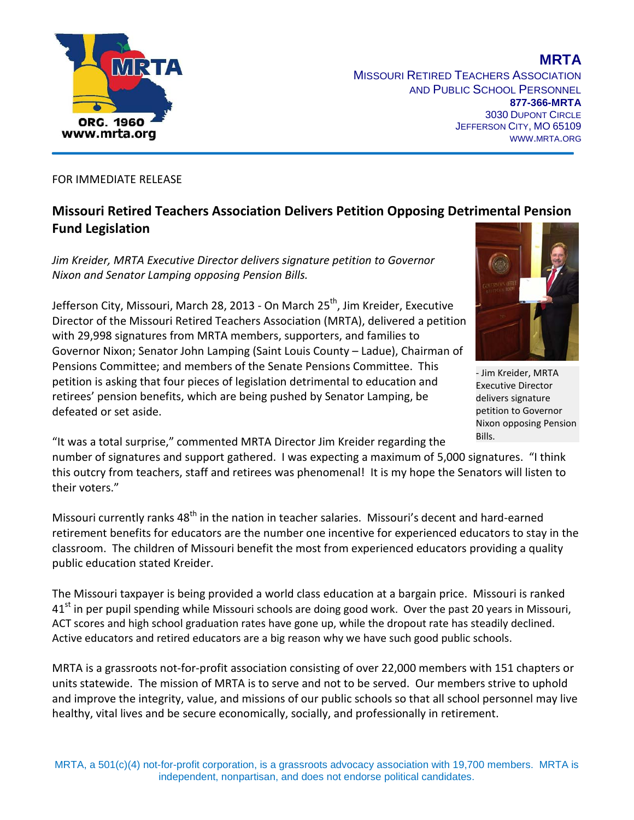

## **MRTA** MISSOURI RETIRED TEACHERS ASSOCIATION AND PUBLIC SCHOOL PERSONNEL **877-366-MRTA** 3030 DUPONT CIRCLE JEFFERSON CITY, MO 65109 WWW.MRTA.ORG

## FOR IMMEDIATE RELEASE

## **Missouri Retired Teachers Association Delivers Petition Opposing Detrimental Pension Fund Legislation**

*Jim Kreider, MRTA Executive Director delivers signature petition to Governor Nixon and Senator Lamping opposing Pension Bills.* 

Jefferson City, Missouri, March 28, 2013 - On March 25<sup>th</sup>, Jim Kreider, Executive Director of the Missouri Retired Teachers Association (MRTA), delivered a petition with 29,998 signatures from MRTA members, supporters, and families to Governor Nixon; Senator John Lamping (Saint Louis County – Ladue), Chairman of Pensions Committee; and members of the Senate Pensions Committee. This petition is asking that four pieces of legislation detrimental to education and retirees' pension benefits, which are being pushed by Senator Lamping, be defeated or set aside.



- Jim Kreider, MRTA Executive Director delivers signature petition to Governor Nixon opposing Pension Bills.

"It was a total surprise," commented MRTA Director Jim Kreider regarding the

number of signatures and support gathered. I was expecting a maximum of 5,000 signatures. "I think this outcry from teachers, staff and retirees was phenomenal! It is my hope the Senators will listen to their voters."

Missouri currently ranks 48<sup>th</sup> in the nation in teacher salaries. Missouri's decent and hard-earned retirement benefits for educators are the number one incentive for experienced educators to stay in the classroom. The children of Missouri benefit the most from experienced educators providing a quality public education stated Kreider.

The Missouri taxpayer is being provided a world class education at a bargain price. Missouri is ranked  $41<sup>st</sup>$  in per pupil spending while Missouri schools are doing good work. Over the past 20 years in Missouri, ACT scores and high school graduation rates have gone up, while the dropout rate has steadily declined. Active educators and retired educators are a big reason why we have such good public schools.

MRTA is a grassroots not-for-profit association consisting of over 22,000 members with 151 chapters or units statewide. The mission of MRTA is to serve and not to be served. Our members strive to uphold and improve the integrity, value, and missions of our public schools so that all school personnel may live healthy, vital lives and be secure economically, socially, and professionally in retirement.